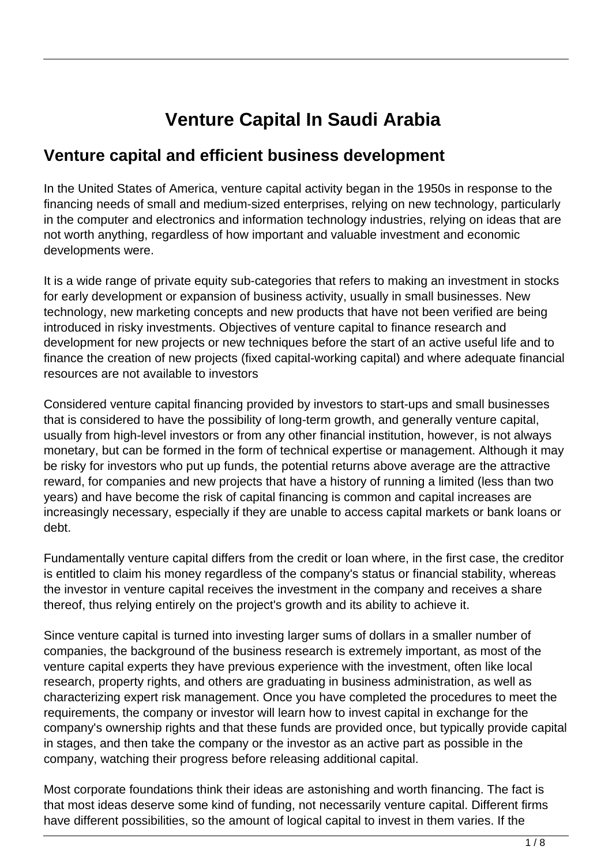# **Venture Capital In Saudi Arabia**

#### **Venture capital and efficient business development**

In the United States of America, venture capital activity began in the 1950s in response to the financing needs of small and medium-sized enterprises, relying on new technology, particularly in the computer and electronics and information technology industries, relying on ideas that are not worth anything, regardless of how important and valuable investment and economic developments were.

It is a wide range of private equity sub-categories that refers to making an investment in stocks for early development or expansion of business activity, usually in small businesses. New technology, new marketing concepts and new products that have not been verified are being introduced in risky investments. Objectives of venture capital to finance research and development for new projects or new techniques before the start of an active useful life and to finance the creation of new projects (fixed capital-working capital) and where adequate financial resources are not available to investors

Considered venture capital financing provided by investors to start-ups and small businesses that is considered to have the possibility of long-term growth, and generally venture capital, usually from high-level investors or from any other financial institution, however, is not always monetary, but can be formed in the form of technical expertise or management. Although it may be risky for investors who put up funds, the potential returns above average are the attractive reward, for companies and new projects that have a history of running a limited (less than two years) and have become the risk of capital financing is common and capital increases are increasingly necessary, especially if they are unable to access capital markets or bank loans or debt.

Fundamentally venture capital differs from the credit or loan where, in the first case, the creditor is entitled to claim his money regardless of the company's status or financial stability, whereas the investor in venture capital receives the investment in the company and receives a share thereof, thus relying entirely on the project's growth and its ability to achieve it.

Since venture capital is turned into investing larger sums of dollars in a smaller number of companies, the background of the business research is extremely important, as most of the venture capital experts they have previous experience with the investment, often like local research, property rights, and others are graduating in business administration, as well as characterizing expert risk management. Once you have completed the procedures to meet the requirements, the company or investor will learn how to invest capital in exchange for the company's ownership rights and that these funds are provided once, but typically provide capital in stages, and then take the company or the investor as an active part as possible in the company, watching their progress before releasing additional capital.

Most corporate foundations think their ideas are astonishing and worth financing. The fact is that most ideas deserve some kind of funding, not necessarily venture capital. Different firms have different possibilities, so the amount of logical capital to invest in them varies. If the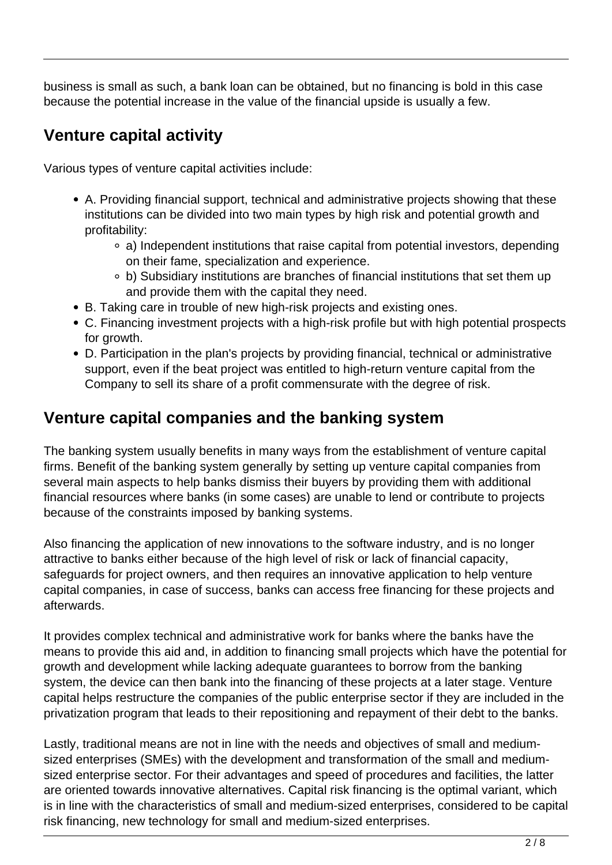business is small as such, a bank loan can be obtained, but no financing is bold in this case because the potential increase in the value of the financial upside is usually a few.

#### **Venture capital activity**

Various types of venture capital activities include:

- A. Providing financial support, technical and administrative projects showing that these institutions can be divided into two main types by high risk and potential growth and profitability:
	- a) Independent institutions that raise capital from potential investors, depending on their fame, specialization and experience.
	- b) Subsidiary institutions are branches of financial institutions that set them up and provide them with the capital they need.
- B. Taking care in trouble of new high-risk projects and existing ones.
- C. Financing investment projects with a high-risk profile but with high potential prospects for growth.
- D. Participation in the plan's projects by providing financial, technical or administrative support, even if the beat project was entitled to high-return venture capital from the Company to sell its share of a profit commensurate with the degree of risk.

#### **Venture capital companies and the banking system**

The banking system usually benefits in many ways from the establishment of venture capital firms. Benefit of the banking system generally by setting up venture capital companies from several main aspects to help banks dismiss their buyers by providing them with additional financial resources where banks (in some cases) are unable to lend or contribute to projects because of the constraints imposed by banking systems.

Also financing the application of new innovations to the software industry, and is no longer attractive to banks either because of the high level of risk or lack of financial capacity, safeguards for project owners, and then requires an innovative application to help venture capital companies, in case of success, banks can access free financing for these projects and afterwards.

It provides complex technical and administrative work for banks where the banks have the means to provide this aid and, in addition to financing small projects which have the potential for growth and development while lacking adequate guarantees to borrow from the banking system, the device can then bank into the financing of these projects at a later stage. Venture capital helps restructure the companies of the public enterprise sector if they are included in the privatization program that leads to their repositioning and repayment of their debt to the banks.

Lastly, traditional means are not in line with the needs and objectives of small and mediumsized enterprises (SMEs) with the development and transformation of the small and mediumsized enterprise sector. For their advantages and speed of procedures and facilities, the latter are oriented towards innovative alternatives. Capital risk financing is the optimal variant, which is in line with the characteristics of small and medium-sized enterprises, considered to be capital risk financing, new technology for small and medium-sized enterprises.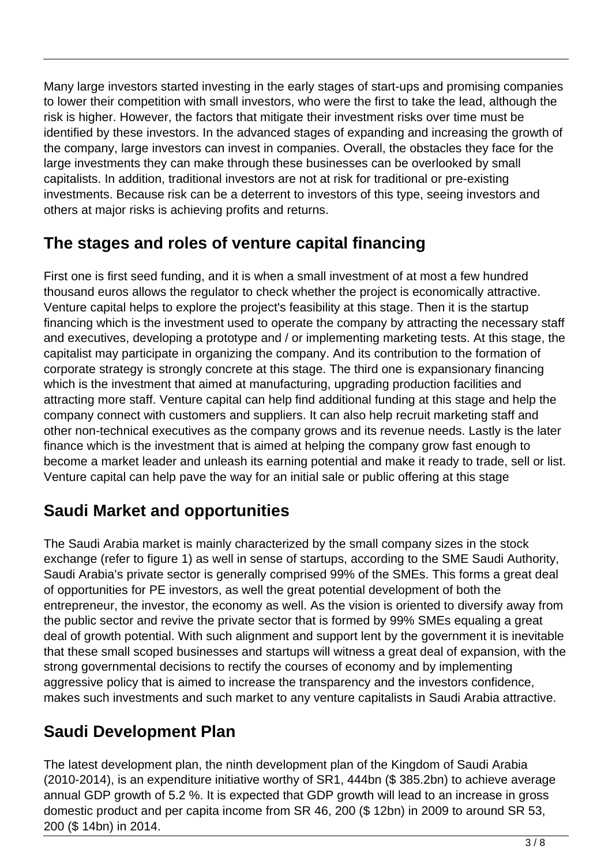Many large investors started investing in the early stages of start-ups and promising companies to lower their competition with small investors, who were the first to take the lead, although the risk is higher. However, the factors that mitigate their investment risks over time must be identified by these investors. In the advanced stages of expanding and increasing the growth of the company, large investors can invest in companies. Overall, the obstacles they face for the large investments they can make through these businesses can be overlooked by small capitalists. In addition, traditional investors are not at risk for traditional or pre-existing investments. Because risk can be a deterrent to investors of this type, seeing investors and others at major risks is achieving profits and returns.

#### **The stages and roles of venture capital financing**

First one is first seed funding, and it is when a small investment of at most a few hundred thousand euros allows the regulator to check whether the project is economically attractive. Venture capital helps to explore the project's feasibility at this stage. Then it is the startup financing which is the investment used to operate the company by attracting the necessary staff and executives, developing a prototype and / or implementing marketing tests. At this stage, the capitalist may participate in organizing the company. And its contribution to the formation of corporate strategy is strongly concrete at this stage. The third one is expansionary financing which is the investment that aimed at manufacturing, upgrading production facilities and attracting more staff. Venture capital can help find additional funding at this stage and help the company connect with customers and suppliers. It can also help recruit marketing staff and other non-technical executives as the company grows and its revenue needs. Lastly is the later finance which is the investment that is aimed at helping the company grow fast enough to become a market leader and unleash its earning potential and make it ready to trade, sell or list. Venture capital can help pave the way for an initial sale or public offering at this stage

### **Saudi Market and opportunities**

The Saudi Arabia market is mainly characterized by the small company sizes in the stock exchange (refer to figure 1) as well in sense of startups, according to the SME Saudi Authority, Saudi Arabia's private sector is generally comprised 99% of the SMEs. This forms a great deal of opportunities for PE investors, as well the great potential development of both the entrepreneur, the investor, the economy as well. As the vision is oriented to diversify away from the public sector and revive the private sector that is formed by 99% SMEs equaling a great deal of growth potential. With such alignment and support lent by the government it is inevitable that these small scoped businesses and startups will witness a great deal of expansion, with the strong governmental decisions to rectify the courses of economy and by implementing aggressive policy that is aimed to increase the transparency and the investors confidence, makes such investments and such market to any venture capitalists in Saudi Arabia attractive.

### **Saudi Development Plan**

The latest development plan, the ninth development plan of the Kingdom of Saudi Arabia (2010-2014), is an expenditure initiative worthy of SR1, 444bn (\$ 385.2bn) to achieve average annual GDP growth of 5.2 %. It is expected that GDP growth will lead to an increase in gross domestic product and per capita income from SR 46, 200 (\$ 12bn) in 2009 to around SR 53, 200 (\$ 14bn) in 2014.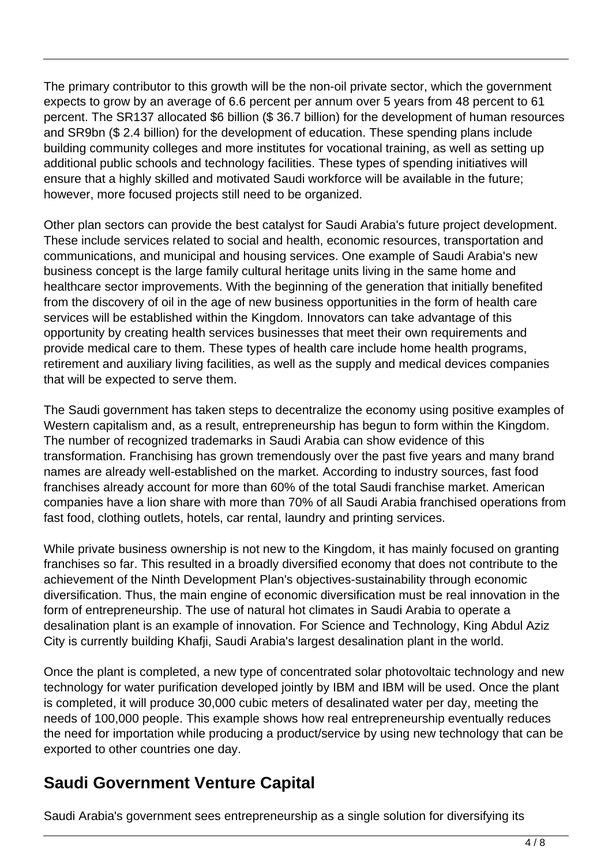The primary contributor to this growth will be the non-oil private sector, which the government expects to grow by an average of 6.6 percent per annum over 5 years from 48 percent to 61 percent. The SR137 allocated \$6 billion (\$ 36.7 billion) for the development of human resources and SR9bn (\$ 2.4 billion) for the development of education. These spending plans include building community colleges and more institutes for vocational training, as well as setting up additional public schools and technology facilities. These types of spending initiatives will ensure that a highly skilled and motivated Saudi workforce will be available in the future; however, more focused projects still need to be organized.

Other plan sectors can provide the best catalyst for Saudi Arabia's future project development. These include services related to social and health, economic resources, transportation and communications, and municipal and housing services. One example of Saudi Arabia's new business concept is the large family cultural heritage units living in the same home and healthcare sector improvements. With the beginning of the generation that initially benefited from the discovery of oil in the age of new business opportunities in the form of health care services will be established within the Kingdom. Innovators can take advantage of this opportunity by creating health services businesses that meet their own requirements and provide medical care to them. These types of health care include home health programs, retirement and auxiliary living facilities, as well as the supply and medical devices companies that will be expected to serve them.

The Saudi government has taken steps to decentralize the economy using positive examples of Western capitalism and, as a result, entrepreneurship has begun to form within the Kingdom. The number of recognized trademarks in Saudi Arabia can show evidence of this transformation. Franchising has grown tremendously over the past five years and many brand names are already well-established on the market. According to industry sources, fast food franchises already account for more than 60% of the total Saudi franchise market. American companies have a lion share with more than 70% of all Saudi Arabia franchised operations from fast food, clothing outlets, hotels, car rental, laundry and printing services.

While private business ownership is not new to the Kingdom, it has mainly focused on granting franchises so far. This resulted in a broadly diversified economy that does not contribute to the achievement of the Ninth Development Plan's objectives-sustainability through economic diversification. Thus, the main engine of economic diversification must be real innovation in the form of entrepreneurship. The use of natural hot climates in Saudi Arabia to operate a desalination plant is an example of innovation. For Science and Technology, King Abdul Aziz City is currently building Khafji, Saudi Arabia's largest desalination plant in the world.

Once the plant is completed, a new type of concentrated solar photovoltaic technology and new technology for water purification developed jointly by IBM and IBM will be used. Once the plant is completed, it will produce 30,000 cubic meters of desalinated water per day, meeting the needs of 100,000 people. This example shows how real entrepreneurship eventually reduces the need for importation while producing a product/service by using new technology that can be exported to other countries one day.

#### **Saudi Government Venture Capital**

Saudi Arabia's government sees entrepreneurship as a single solution for diversifying its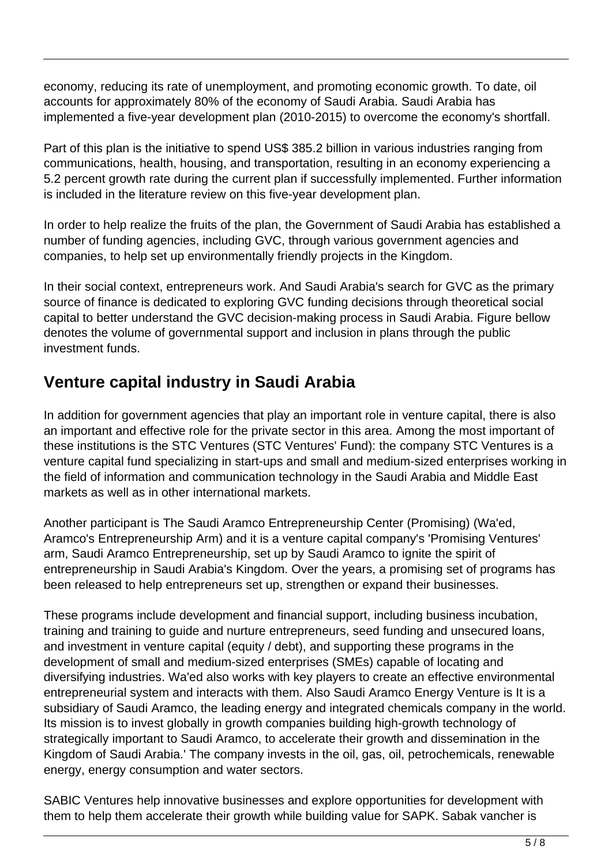economy, reducing its rate of unemployment, and promoting economic growth. To date, oil accounts for approximately 80% of the economy of Saudi Arabia. Saudi Arabia has implemented a five-year development plan (2010-2015) to overcome the economy's shortfall.

Part of this plan is the initiative to spend US\$ 385.2 billion in various industries ranging from communications, health, housing, and transportation, resulting in an economy experiencing a 5.2 percent growth rate during the current plan if successfully implemented. Further information is included in the literature review on this five-year development plan.

In order to help realize the fruits of the plan, the Government of Saudi Arabia has established a number of funding agencies, including GVC, through various government agencies and companies, to help set up environmentally friendly projects in the Kingdom.

In their social context, entrepreneurs work. And Saudi Arabia's search for GVC as the primary source of finance is dedicated to exploring GVC funding decisions through theoretical social capital to better understand the GVC decision-making process in Saudi Arabia. Figure bellow denotes the volume of governmental support and inclusion in plans through the public investment funds.

### **Venture capital industry in Saudi Arabia**

In addition for government agencies that play an important role in venture capital, there is also an important and effective role for the private sector in this area. Among the most important of these institutions is the STC Ventures (STC Ventures' Fund): the company STC Ventures is a venture capital fund specializing in start-ups and small and medium-sized enterprises working in the field of information and communication technology in the Saudi Arabia and Middle East markets as well as in other international markets.

Another participant is The Saudi Aramco Entrepreneurship Center (Promising) (Wa'ed, Aramco's Entrepreneurship Arm) and it is a venture capital company's 'Promising Ventures' arm, Saudi Aramco Entrepreneurship, set up by Saudi Aramco to ignite the spirit of entrepreneurship in Saudi Arabia's Kingdom. Over the years, a promising set of programs has been released to help entrepreneurs set up, strengthen or expand their businesses.

These programs include development and financial support, including business incubation, training and training to guide and nurture entrepreneurs, seed funding and unsecured loans, and investment in venture capital (equity / debt), and supporting these programs in the development of small and medium-sized enterprises (SMEs) capable of locating and diversifying industries. Wa'ed also works with key players to create an effective environmental entrepreneurial system and interacts with them. Also Saudi Aramco Energy Venture is It is a subsidiary of Saudi Aramco, the leading energy and integrated chemicals company in the world. Its mission is to invest globally in growth companies building high-growth technology of strategically important to Saudi Aramco, to accelerate their growth and dissemination in the Kingdom of Saudi Arabia.' The company invests in the oil, gas, oil, petrochemicals, renewable energy, energy consumption and water sectors.

SABIC Ventures help innovative businesses and explore opportunities for development with them to help them accelerate their growth while building value for SAPK. Sabak vancher is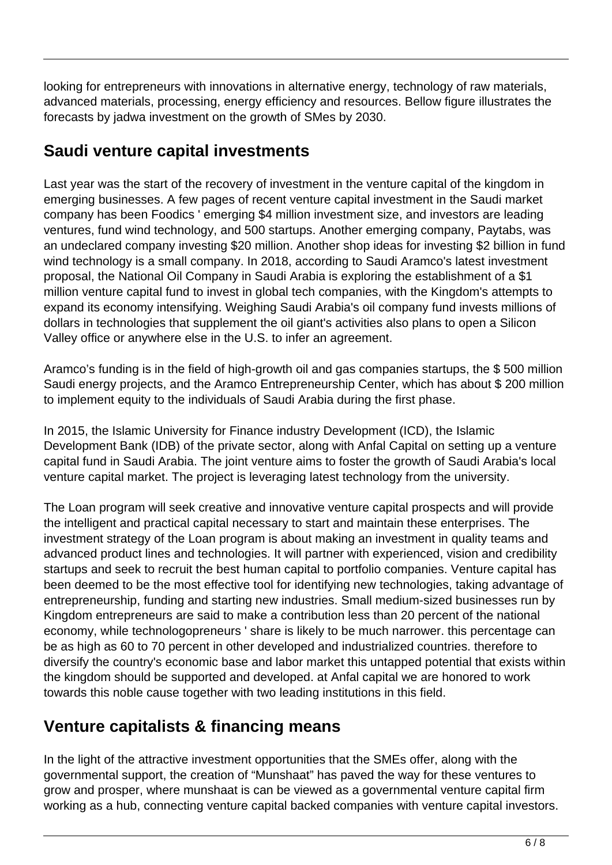looking for entrepreneurs with innovations in alternative energy, technology of raw materials, advanced materials, processing, energy efficiency and resources. Bellow figure illustrates the forecasts by jadwa investment on the growth of SMes by 2030.

### **Saudi venture capital investments**

Last year was the start of the recovery of investment in the venture capital of the kingdom in emerging businesses. A few pages of recent venture capital investment in the Saudi market company has been Foodics ' emerging \$4 million investment size, and investors are leading ventures, fund wind technology, and 500 startups. Another emerging company, Paytabs, was an undeclared company investing \$20 million. Another shop ideas for investing \$2 billion in fund wind technology is a small company. In 2018, according to Saudi Aramco's latest investment proposal, the National Oil Company in Saudi Arabia is exploring the establishment of a \$1 million venture capital fund to invest in global tech companies, with the Kingdom's attempts to expand its economy intensifying. Weighing Saudi Arabia's oil company fund invests millions of dollars in technologies that supplement the oil giant's activities also plans to open a Silicon Valley office or anywhere else in the U.S. to infer an agreement.

Aramco's funding is in the field of high-growth oil and gas companies startups, the \$ 500 million Saudi energy projects, and the Aramco Entrepreneurship Center, which has about \$ 200 million to implement equity to the individuals of Saudi Arabia during the first phase.

In 2015, the Islamic University for Finance industry Development (ICD), the Islamic Development Bank (IDB) of the private sector, along with Anfal Capital on setting up a venture capital fund in Saudi Arabia. The joint venture aims to foster the growth of Saudi Arabia's local venture capital market. The project is leveraging latest technology from the university.

The Loan program will seek creative and innovative venture capital prospects and will provide the intelligent and practical capital necessary to start and maintain these enterprises. The investment strategy of the Loan program is about making an investment in quality teams and advanced product lines and technologies. It will partner with experienced, vision and credibility startups and seek to recruit the best human capital to portfolio companies. Venture capital has been deemed to be the most effective tool for identifying new technologies, taking advantage of entrepreneurship, funding and starting new industries. Small medium-sized businesses run by Kingdom entrepreneurs are said to make a contribution less than 20 percent of the national economy, while technologopreneurs ' share is likely to be much narrower. this percentage can be as high as 60 to 70 percent in other developed and industrialized countries. therefore to diversify the country's economic base and labor market this untapped potential that exists within the kingdom should be supported and developed. at Anfal capital we are honored to work towards this noble cause together with two leading institutions in this field.

### **Venture capitalists & financing means**

In the light of the attractive investment opportunities that the SMEs offer, along with the governmental support, the creation of "Munshaat" has paved the way for these ventures to grow and prosper, where munshaat is can be viewed as a governmental venture capital firm working as a hub, connecting venture capital backed companies with venture capital investors.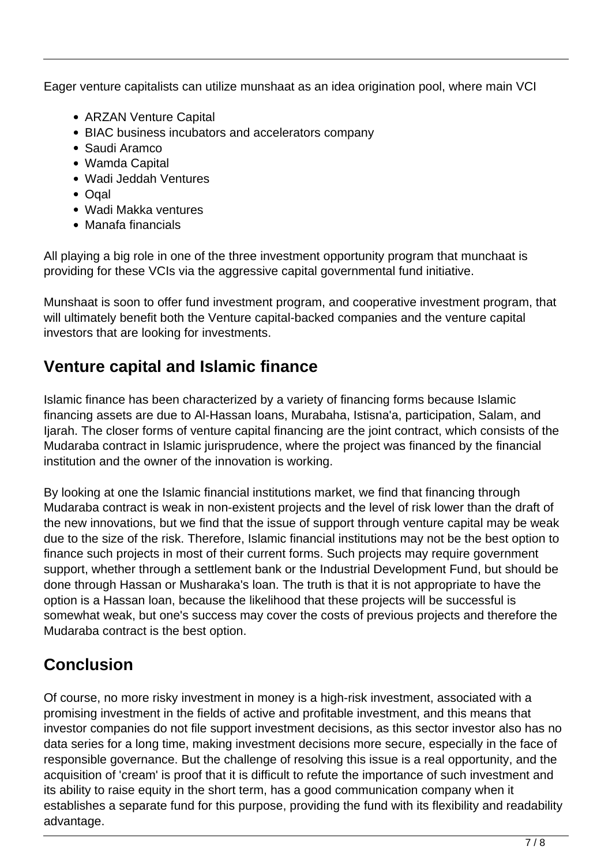Eager venture capitalists can utilize munshaat as an idea origination pool, where main VCI

- ARZAN Venture Capital
- BIAC business incubators and accelerators company
- Saudi Aramco
- Wamda Capital
- Wadi Jeddah Ventures
- Ogal
- Wadi Makka ventures
- Manafa financials

All playing a big role in one of the three investment opportunity program that munchaat is providing for these VCIs via the aggressive capital governmental fund initiative.

Munshaat is soon to offer fund investment program, and cooperative investment program, that will ultimately benefit both the Venture capital-backed companies and the venture capital investors that are looking for investments.

### **Venture capital and Islamic finance**

Islamic finance has been characterized by a variety of financing forms because Islamic financing assets are due to Al-Hassan loans, Murabaha, Istisna'a, participation, Salam, and Ijarah. The closer forms of venture capital financing are the joint contract, which consists of the Mudaraba contract in Islamic jurisprudence, where the project was financed by the financial institution and the owner of the innovation is working.

By looking at one the Islamic financial institutions market, we find that financing through Mudaraba contract is weak in non-existent projects and the level of risk lower than the draft of the new innovations, but we find that the issue of support through venture capital may be weak due to the size of the risk. Therefore, Islamic financial institutions may not be the best option to finance such projects in most of their current forms. Such projects may require government support, whether through a settlement bank or the Industrial Development Fund, but should be done through Hassan or Musharaka's loan. The truth is that it is not appropriate to have the option is a Hassan loan, because the likelihood that these projects will be successful is somewhat weak, but one's success may cover the costs of previous projects and therefore the Mudaraba contract is the best option.

## **Conclusion**

Of course, no more risky investment in money is a high-risk investment, associated with a promising investment in the fields of active and profitable investment, and this means that investor companies do not file support investment decisions, as this sector investor also has no data series for a long time, making investment decisions more secure, especially in the face of responsible governance. But the challenge of resolving this issue is a real opportunity, and the acquisition of 'cream' is proof that it is difficult to refute the importance of such investment and its ability to raise equity in the short term, has a good communication company when it establishes a separate fund for this purpose, providing the fund with its flexibility and readability advantage.